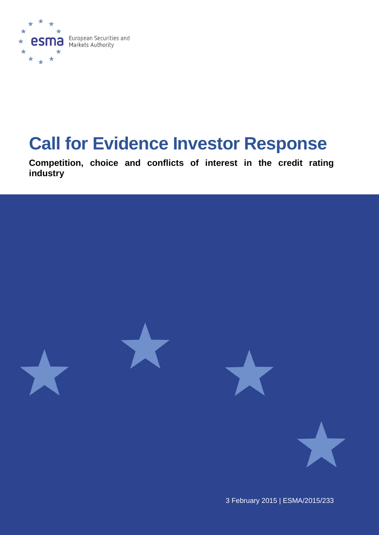

# **Call for Evidence Investor Response**

**Competition, choice and conflicts of interest in the credit rating industry** 



3 February 2015 | ESMA/2015/233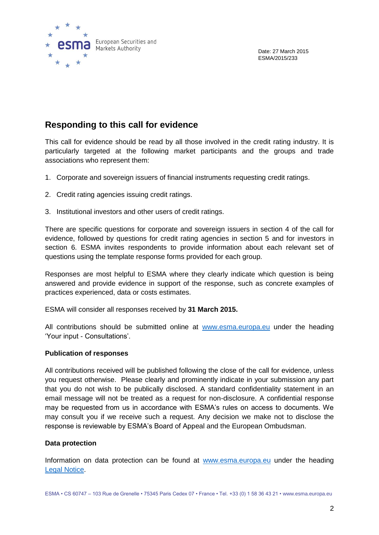

Date: 27 March 2015 ESMA/2015/233

# **Responding to this call for evidence**

This call for evidence should be read by all those involved in the credit rating industry. It is particularly targeted at the following market participants and the groups and trade associations who represent them:

- 1. Corporate and sovereign issuers of financial instruments requesting credit ratings.
- 2. Credit rating agencies issuing credit ratings.
- 3. Institutional investors and other users of credit ratings.

There are specific questions for corporate and sovereign issuers in section 4 of the call for evidence, followed by questions for credit rating agencies in section 5 and for investors in section 6. ESMA invites respondents to provide information about each relevant set of questions using the template response forms provided for each group.

Responses are most helpful to ESMA where they clearly indicate which question is being answered and provide evidence in support of the response, such as concrete examples of practices experienced, data or costs estimates.

ESMA will consider all responses received by **31 March 2015.** 

All contributions should be submitted online at [www.esma.europa.eu](http://www.esma.europa.eu/) under the heading 'Your input - Consultations'.

#### **Publication of responses**

All contributions received will be published following the close of the call for evidence, unless you request otherwise. Please clearly and prominently indicate in your submission any part that you do not wish to be publically disclosed. A standard confidentiality statement in an email message will not be treated as a request for non-disclosure. A confidential response may be requested from us in accordance with ESMA's rules on access to documents. We may consult you if we receive such a request. Any decision we make not to disclose the response is reviewable by ESMA's Board of Appeal and the European Ombudsman.

#### **Data protection**

Information on data protection can be found at [www.esma.europa.eu](http://www.esma.europa.eu/) under the heading [Legal Notice.](http://www.esma.europa.eu/legal-notice)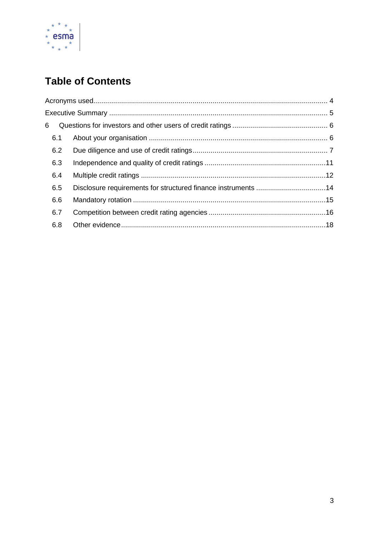

# **Table of Contents**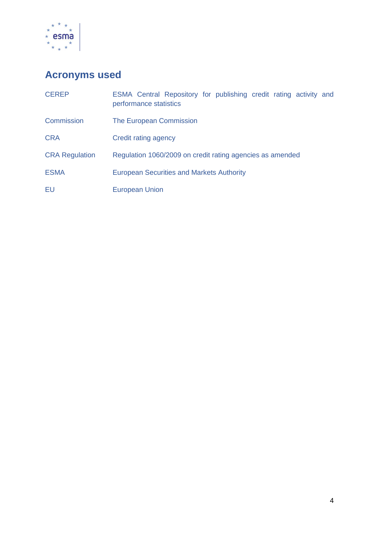

# <span id="page-3-0"></span>**Acronyms used**

| <b>CEREP</b>          | ESMA Central Repository for publishing credit rating activity and<br>performance statistics |
|-----------------------|---------------------------------------------------------------------------------------------|
| <b>Commission</b>     | The European Commission                                                                     |
| <b>CRA</b>            | Credit rating agency                                                                        |
| <b>CRA Regulation</b> | Regulation 1060/2009 on credit rating agencies as amended                                   |
| <b>ESMA</b>           | <b>European Securities and Markets Authority</b>                                            |
| EU                    | <b>European Union</b>                                                                       |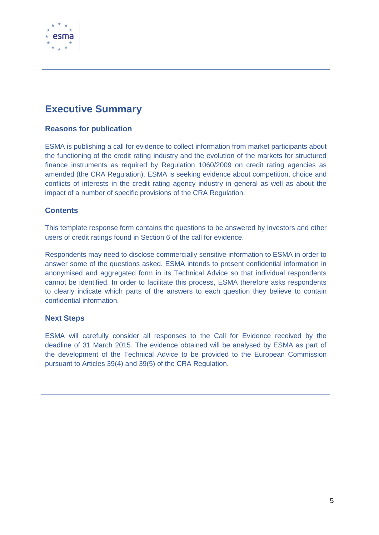

# <span id="page-4-0"></span>**Executive Summary**

#### **Reasons for publication**

ESMA is publishing a call for evidence to collect information from market participants about the functioning of the credit rating industry and the evolution of the markets for structured finance instruments as required by Regulation 1060/2009 on credit rating agencies as amended (the CRA Regulation). ESMA is seeking evidence about competition, choice and conflicts of interests in the credit rating agency industry in general as well as about the impact of a number of specific provisions of the CRA Regulation.

#### **Contents**

This template response form contains the questions to be answered by investors and other users of credit ratings found in Section 6 of the call for evidence.

Respondents may need to disclose commercially sensitive information to ESMA in order to answer some of the questions asked. ESMA intends to present confidential information in anonymised and aggregated form in its Technical Advice so that individual respondents cannot be identified. In order to facilitate this process, ESMA therefore asks respondents to clearly indicate which parts of the answers to each question they believe to contain confidential information.

#### **Next Steps**

ESMA will carefully consider all responses to the Call for Evidence received by the deadline of 31 March 2015. The evidence obtained will be analysed by ESMA as part of the development of the Technical Advice to be provided to the European Commission pursuant to Articles 39(4) and 39(5) of the CRA Regulation.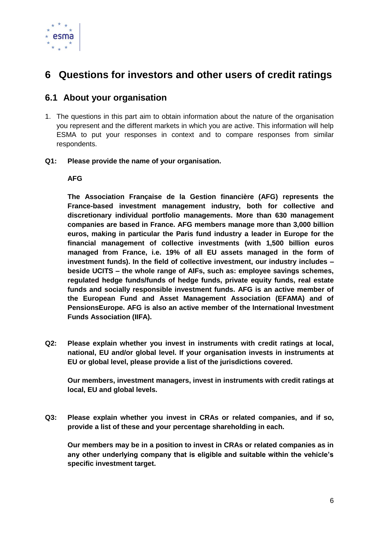

# <span id="page-5-0"></span>**6 Questions for investors and other users of credit ratings**

# <span id="page-5-1"></span>**6.1 About your organisation**

- 1. The questions in this part aim to obtain information about the nature of the organisation you represent and the different markets in which you are active. This information will help ESMA to put your responses in context and to compare responses from similar respondents.
- **Q1: Please provide the name of your organisation.**

#### **AFG**

**The Association Française de la Gestion financière (AFG) represents the France-based investment management industry, both for collective and discretionary individual portfolio managements. More than 630 management companies are based in France. AFG members manage more than 3,000 billion euros, making in particular the Paris fund industry a leader in Europe for the financial management of collective investments (with 1,500 billion euros managed from France, i.e. 19% of all EU assets managed in the form of investment funds). In the field of collective investment, our industry includes – beside UCITS – the whole range of AIFs, such as: employee savings schemes, regulated hedge funds/funds of hedge funds, private equity funds, real estate funds and socially responsible investment funds. AFG is an active member of the European Fund and Asset Management Association (EFAMA) and of PensionsEurope. AFG is also an active member of the International Investment Funds Association (IIFA).**

**Q2: Please explain whether you invest in instruments with credit ratings at local, national, EU and/or global level. If your organisation invests in instruments at EU or global level, please provide a list of the jurisdictions covered.**

**Our members, investment managers, invest in instruments with credit ratings at local, EU and global levels.**

**Q3: Please explain whether you invest in CRAs or related companies, and if so, provide a list of these and your percentage shareholding in each.**

**Our members may be in a position to invest in CRAs or related companies as in any other underlying company that is eligible and suitable within the vehicle's specific investment target.**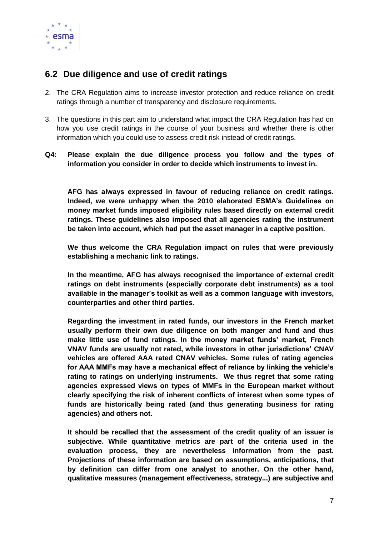

# <span id="page-6-0"></span>**6.2 Due diligence and use of credit ratings**

- 2. The CRA Regulation aims to increase investor protection and reduce reliance on credit ratings through a number of transparency and disclosure requirements.
- 3. The questions in this part aim to understand what impact the CRA Regulation has had on how you use credit ratings in the course of your business and whether there is other information which you could use to assess credit risk instead of credit ratings.

#### **Q4: Please explain the due diligence process you follow and the types of information you consider in order to decide which instruments to invest in.**

**AFG has always expressed in favour of reducing reliance on credit ratings. Indeed, we were unhappy when the 2010 elaborated ESMA's Guidelines on money market funds imposed eligibility rules based directly on external credit ratings. These guidelines also imposed that all agencies rating the instrument be taken into account, which had put the asset manager in a captive position.** 

**We thus welcome the CRA Regulation impact on rules that were previously establishing a mechanic link to ratings.**

**In the meantime, AFG has always recognised the importance of external credit ratings on debt instruments (especially corporate debt instruments) as a tool available in the manager's toolkit as well as a common language with investors, counterparties and other third parties.**

**Regarding the investment in rated funds, our investors in the French market usually perform their own due diligence on both manger and fund and thus make little use of fund ratings. In the money market funds' market, French VNAV funds are usually not rated, while investors in other jurisdictions' CNAV vehicles are offered AAA rated CNAV vehicles. Some rules of rating agencies for AAA MMFs may have a mechanical effect of reliance by linking the vehicle's rating to ratings on underlying instruments. We thus regret that some rating agencies expressed views on types of MMFs in the European market without clearly specifying the risk of inherent conflicts of interest when some types of funds are historically being rated (and thus generating business for rating agencies) and others not.** 

**It should be recalled that the assessment of the credit quality of an issuer is subjective. While quantitative metrics are part of the criteria used in the evaluation process, they are nevertheless information from the past. Projections of these information are based on assumptions, anticipations, that by definition can differ from one analyst to another. On the other hand, qualitative measures (management effectiveness, strategy...) are subjective and**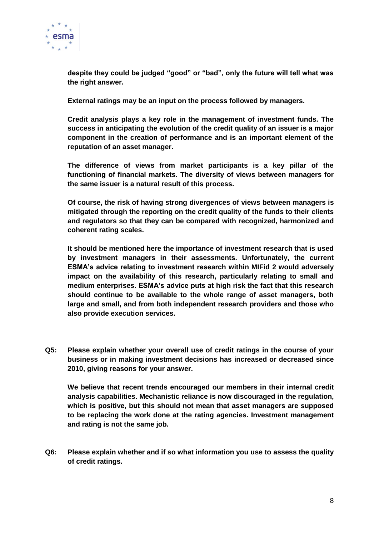

**despite they could be judged "good" or "bad", only the future will tell what was the right answer.**

**External ratings may be an input on the process followed by managers.**

**Credit analysis plays a key role in the management of investment funds. The success in anticipating the evolution of the credit quality of an issuer is a major component in the creation of performance and is an important element of the reputation of an asset manager.**

**The difference of views from market participants is a key pillar of the functioning of financial markets. The diversity of views between managers for the same issuer is a natural result of this process.** 

**Of course, the risk of having strong divergences of views between managers is mitigated through the reporting on the credit quality of the funds to their clients and regulators so that they can be compared with recognized, harmonized and coherent rating scales.**

**It should be mentioned here the importance of investment research that is used by investment managers in their assessments. Unfortunately, the current ESMA's advice relating to investment research within MIFid 2 would adversely impact on the availability of this research, particularly relating to small and medium enterprises. ESMA's advice puts at high risk the fact that this research should continue to be available to the whole range of asset managers, both large and small, and from both independent research providers and those who also provide execution services.**

**Q5: Please explain whether your overall use of credit ratings in the course of your business or in making investment decisions has increased or decreased since 2010, giving reasons for your answer.**

**We believe that recent trends encouraged our members in their internal credit analysis capabilities. Mechanistic reliance is now discouraged in the regulation, which is positive, but this should not mean that asset managers are supposed to be replacing the work done at the rating agencies. Investment management and rating is not the same job.**

**Q6: Please explain whether and if so what information you use to assess the quality of credit ratings.**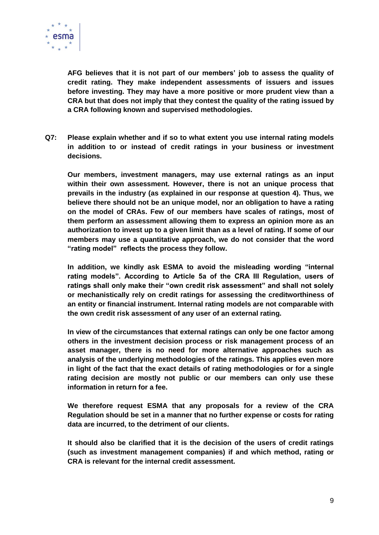

**AFG believes that it is not part of our members' job to assess the quality of credit rating. They make independent assessments of issuers and issues before investing. They may have a more positive or more prudent view than a CRA but that does not imply that they contest the quality of the rating issued by a CRA following known and supervised methodologies.** 

**Q7: Please explain whether and if so to what extent you use internal rating models in addition to or instead of credit ratings in your business or investment decisions.**

**Our members, investment managers, may use external ratings as an input within their own assessment. However, there is not an unique process that prevails in the industry (as explained in our response at question 4). Thus, we believe there should not be an unique model, nor an obligation to have a rating on the model of CRAs. Few of our members have scales of ratings, most of them perform an assessment allowing them to express an opinion more as an authorization to invest up to a given limit than as a level of rating. If some of our members may use a quantitative approach, we do not consider that the word "rating model" reflects the process they follow.**

**In addition, we kindly ask ESMA to avoid the misleading wording "internal rating models". According to Article 5a of the CRA III Regulation, users of ratings shall only make their "own credit risk assessment" and shall not solely or mechanistically rely on credit ratings for assessing the creditworthiness of an entity or financial instrument. Internal rating models are not comparable with the own credit risk assessment of any user of an external rating.** 

**In view of the circumstances that external ratings can only be one factor among others in the investment decision process or risk management process of an asset manager, there is no need for more alternative approaches such as analysis of the underlying methodologies of the ratings. This applies even more in light of the fact that the exact details of rating methodologies or for a single rating decision are mostly not public or our members can only use these information in return for a fee.**

**We therefore request ESMA that any proposals for a review of the CRA Regulation should be set in a manner that no further expense or costs for rating data are incurred, to the detriment of our clients.** 

**It should also be clarified that it is the decision of the users of credit ratings (such as investment management companies) if and which method, rating or CRA is relevant for the internal credit assessment.**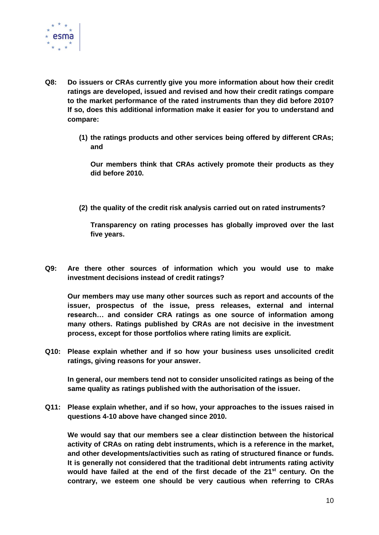

- **Q8: Do issuers or CRAs currently give you more information about how their credit ratings are developed, issued and revised and how their credit ratings compare to the market performance of the rated instruments than they did before 2010? If so, does this additional information make it easier for you to understand and compare:**
	- **(1) the ratings products and other services being offered by different CRAs; and**

**Our members think that CRAs actively promote their products as they did before 2010.**

**(2) the quality of the credit risk analysis carried out on rated instruments?** 

**Transparency on rating processes has globally improved over the last five years.**

**Q9: Are there other sources of information which you would use to make investment decisions instead of credit ratings?**

**Our members may use many other sources such as report and accounts of the issuer, prospectus of the issue, press releases, external and internal research… and consider CRA ratings as one source of information among many others. Ratings published by CRAs are not decisive in the investment process, except for those portfolios where rating limits are explicit.**

**Q10: Please explain whether and if so how your business uses unsolicited credit ratings, giving reasons for your answer.**

**In general, our members tend not to consider unsolicited ratings as being of the same quality as ratings published with the authorisation of the issuer.**

**Q11: Please explain whether, and if so how, your approaches to the issues raised in questions 4-10 above have changed since 2010.**

**We would say that our members see a clear distinction between the historical activity of CRAs on rating debt instruments, which is a reference in the market, and other developments/activities such as rating of structured finance or funds. It is generally not considered that the traditional debt intruments rating activity would have failed at the end of the first decade of the 21st century. On the contrary, we esteem one should be very cautious when referring to CRAs**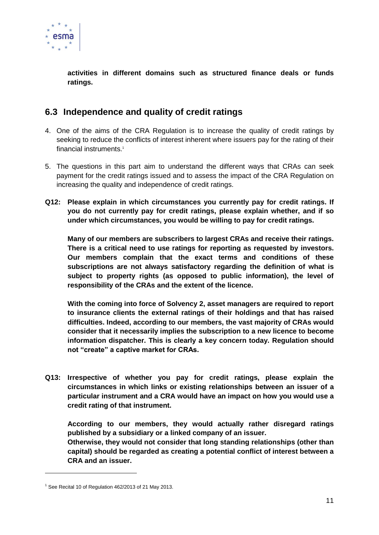

**activities in different domains such as structured finance deals or funds ratings.**

# <span id="page-10-0"></span>**6.3 Independence and quality of credit ratings**

- 4. One of the aims of the CRA Regulation is to increase the quality of credit ratings by seeking to reduce the conflicts of interest inherent where issuers pay for the rating of their financial instruments.<sup>1</sup>
- 5. The questions in this part aim to understand the different ways that CRAs can seek payment for the credit ratings issued and to assess the impact of the CRA Regulation on increasing the quality and independence of credit ratings.
- **Q12: Please explain in which circumstances you currently pay for credit ratings. If you do not currently pay for credit ratings, please explain whether, and if so under which circumstances, you would be willing to pay for credit ratings.**

**Many of our members are subscribers to largest CRAs and receive their ratings. There is a critical need to use ratings for reporting as requested by investors. Our members complain that the exact terms and conditions of these subscriptions are not always satisfactory regarding the definition of what is subject to property rights (as opposed to public information), the level of responsibility of the CRAs and the extent of the licence.** 

**With the coming into force of Solvency 2, asset managers are required to report to insurance clients the external ratings of their holdings and that has raised difficulties. Indeed, according to our members, the vast majority of CRAs would consider that it necessarily implies the subscription to a new licence to become information dispatcher. This is clearly a key concern today. Regulation should not "create" a captive market for CRAs.**

**Q13: Irrespective of whether you pay for credit ratings, please explain the circumstances in which links or existing relationships between an issuer of a particular instrument and a CRA would have an impact on how you would use a credit rating of that instrument.**

**According to our members, they would actually rather disregard ratings published by a subsidiary or a linked company of an issuer.**

**Otherwise, they would not consider that long standing relationships (other than capital) should be regarded as creating a potential conflict of interest between a CRA and an issuer.**

-

 $1$  See Recital 10 of Regulation 462/2013 of 21 May 2013.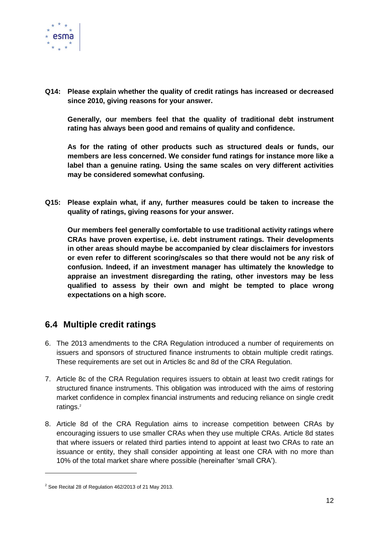

**Q14: Please explain whether the quality of credit ratings has increased or decreased since 2010, giving reasons for your answer.**

**Generally, our members feel that the quality of traditional debt instrument rating has always been good and remains of quality and confidence.**

**As for the rating of other products such as structured deals or funds, our members are less concerned. We consider fund ratings for instance more like a label than a genuine rating. Using the same scales on very different activities may be considered somewhat confusing.**

**Q15: Please explain what, if any, further measures could be taken to increase the quality of ratings, giving reasons for your answer.** 

**Our members feel generally comfortable to use traditional activity ratings where CRAs have proven expertise, i.e. debt instrument ratings. Their developments in other areas should maybe be accompanied by clear disclaimers for investors or even refer to different scoring/scales so that there would not be any risk of confusion. Indeed, if an investment manager has ultimately the knowledge to appraise an investment disregarding the rating, other investors may be less qualified to assess by their own and might be tempted to place wrong expectations on a high score.**

## <span id="page-11-0"></span>**6.4 Multiple credit ratings**

- 6. The 2013 amendments to the CRA Regulation introduced a number of requirements on issuers and sponsors of structured finance instruments to obtain multiple credit ratings. These requirements are set out in Articles 8c and 8d of the CRA Regulation.
- 7. Article 8c of the CRA Regulation requires issuers to obtain at least two credit ratings for structured finance instruments. This obligation was introduced with the aims of restoring market confidence in complex financial instruments and reducing reliance on single credit ratings.<sup>2</sup>
- 8. Article 8d of the CRA Regulation aims to increase competition between CRAs by encouraging issuers to use smaller CRAs when they use multiple CRAs. Article 8d states that where issuers or related third parties intend to appoint at least two CRAs to rate an issuance or entity, they shall consider appointing at least one CRA with no more than 10% of the total market share where possible (hereinafter 'small CRA').

-

 $2$  See Recital 28 of Regulation 462/2013 of 21 May 2013.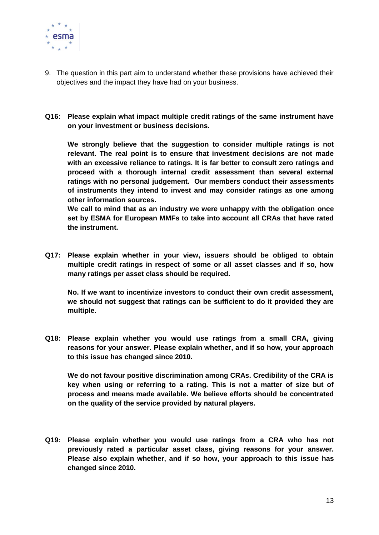

- 9. The question in this part aim to understand whether these provisions have achieved their objectives and the impact they have had on your business.
- **Q16: Please explain what impact multiple credit ratings of the same instrument have on your investment or business decisions.**

**We strongly believe that the suggestion to consider multiple ratings is not relevant. The real point is to ensure that investment decisions are not made with an excessive reliance to ratings. It is far better to consult zero ratings and proceed with a thorough internal credit assessment than several external ratings with no personal judgement. Our members conduct their assessments of instruments they intend to invest and may consider ratings as one among other information sources.** 

**We call to mind that as an industry we were unhappy with the obligation once set by ESMA for European MMFs to take into account all CRAs that have rated the instrument.** 

**Q17: Please explain whether in your view, issuers should be obliged to obtain multiple credit ratings in respect of some or all asset classes and if so, how many ratings per asset class should be required.**

**No. If we want to incentivize investors to conduct their own credit assessment, we should not suggest that ratings can be sufficient to do it provided they are multiple.**

**Q18: Please explain whether you would use ratings from a small CRA, giving reasons for your answer. Please explain whether, and if so how, your approach to this issue has changed since 2010.**

**We do not favour positive discrimination among CRAs. Credibility of the CRA is key when using or referring to a rating. This is not a matter of size but of process and means made available. We believe efforts should be concentrated on the quality of the service provided by natural players.**

**Q19: Please explain whether you would use ratings from a CRA who has not previously rated a particular asset class, giving reasons for your answer. Please also explain whether, and if so how, your approach to this issue has changed since 2010.**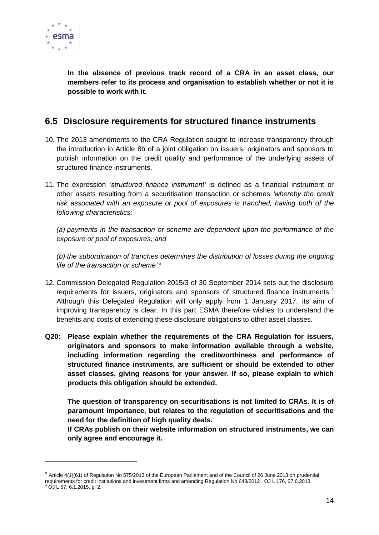

-

**In the absence of previous track record of a CRA in an asset class, our members refer to its process and organisation to establish whether or not it is possible to work with it.**

# <span id="page-13-0"></span>**6.5 Disclosure requirements for structured finance instruments**

- 10. The 2013 amendments to the CRA Regulation sought to increase transparency through the introduction in Article 8b of a joint obligation on issuers, originators and sponsors to publish information on the credit quality and performance of the underlying assets of structured finance instruments.
- 11. The expression *'structured finance instrument'* is defined as a financial instrument or other assets resulting from a securitisation transaction or schemes *'whereby the credit risk associated with an exposure or pool of exposures is tranched, having both of the following characteristics:*

*(a) payments in the transaction or scheme are dependent upon the performance of the exposure or pool of exposures; and*

*(b) the subordination of tranches determines the distribution of losses during the ongoing life of the transaction or scheme'*. 3

- 12. Commission Delegated Regulation 2015/3 of 30 September 2014 sets out the disclosure requirements for issuers, originators and sponsors of structured finance instruments.<sup>4</sup> Although this Delegated Regulation will only apply from 1 January 2017, its aim of improving transparency is clear. In this part ESMA therefore wishes to understand the benefits and costs of extending these disclosure obligations to other asset classes.
- **Q20: Please explain whether the requirements of the CRA Regulation for issuers, originators and sponsors to make information available through a website, including information regarding the creditworthiness and performance of structured finance instruments, are sufficient or should be extended to other asset classes, giving reasons for your answer. If so, please explain to which products this obligation should be extended.**

**The question of transparency on securitisations is not limited to CRAs. It is of paramount importance, but relates to the regulation of securitisations and the need for the definition of high quality deals.** 

**If CRAs publish on their website information on structured instruments, we can only agree and encourage it.** 

**<sup>3</sup>** Article 4(1)(61) of Regulation No 575/2013 of the European Parliament and of the Council of 26 June 2013 on prudential requirements for credit institutions and investment firms and amending Regulation No 648/2012 , OJ L 176, 27.6.2013. <sup>4</sup> OJ L 57, 6.1.2015, p. 2.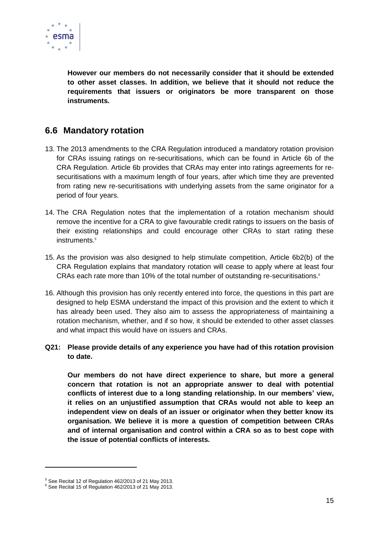

**However our members do not necessarily consider that it should be extended to other asset classes. In addition, we believe that it should not reduce the requirements that issuers or originators be more transparent on those instruments.**

# <span id="page-14-0"></span>**6.6 Mandatory rotation**

- 13. The 2013 amendments to the CRA Regulation introduced a mandatory rotation provision for CRAs issuing ratings on re-securitisations, which can be found in Article 6b of the CRA Regulation. Article 6b provides that CRAs may enter into ratings agreements for resecuritisations with a maximum length of four years, after which time they are prevented from rating new re-securitisations with underlying assets from the same originator for a period of four years.
- 14. The CRA Regulation notes that the implementation of a rotation mechanism should remove the incentive for a CRA to give favourable credit ratings to issuers on the basis of their existing relationships and could encourage other CRAs to start rating these instruments.<sup>5</sup>
- 15. As the provision was also designed to help stimulate competition, Article 6b2(b) of the CRA Regulation explains that mandatory rotation will cease to apply where at least four CRAs each rate more than 10% of the total number of outstanding re-securitisations.<sup>6</sup>
- 16. Although this provision has only recently entered into force, the questions in this part are designed to help ESMA understand the impact of this provision and the extent to which it has already been used. They also aim to assess the appropriateness of maintaining a rotation mechanism, whether, and if so how, it should be extended to other asset classes and what impact this would have on issuers and CRAs.
- **Q21: Please provide details of any experience you have had of this rotation provision to date.**

**Our members do not have direct experience to share, but more a general concern that rotation is not an appropriate answer to deal with potential conflicts of interest due to a long standing relationship. In our members' view, it relies on an unjustified assumption that CRAs would not able to keep an independent view on deals of an issuer or originator when they better know its organisation. We believe it is more a question of competition between CRAs and of internal organisation and control within a CRA so as to best cope with the issue of potential conflicts of interests.** 

 $\overline{a}$ 

<sup>5</sup> See Recital 12 of Regulation 462/2013 of 21 May 2013.

<sup>6</sup> See Recital 15 of Regulation 462/2013 of 21 May 2013.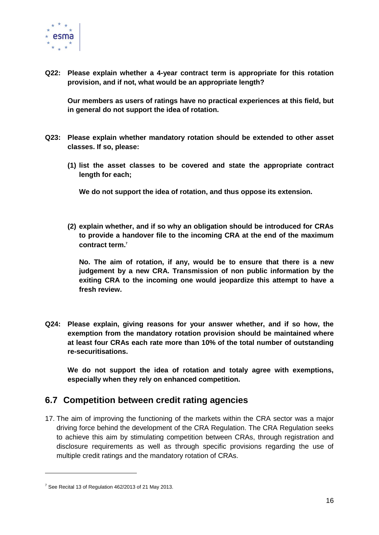

**Q22: Please explain whether a 4-year contract term is appropriate for this rotation provision, and if not, what would be an appropriate length?**

**Our members as users of ratings have no practical experiences at this field, but in general do not support the idea of rotation.**

- **Q23: Please explain whether mandatory rotation should be extended to other asset classes. If so, please:** 
	- **(1) list the asset classes to be covered and state the appropriate contract length for each;**

**We do not support the idea of rotation, and thus oppose its extension.**

**(2) explain whether, and if so why an obligation should be introduced for CRAs to provide a handover file to the incoming CRA at the end of the maximum contract term.<sup>7</sup>**

**No. The aim of rotation, if any, would be to ensure that there is a new judgement by a new CRA. Transmission of non public information by the exiting CRA to the incoming one would jeopardize this attempt to have a fresh review.** 

**Q24: Please explain, giving reasons for your answer whether, and if so how, the exemption from the mandatory rotation provision should be maintained where at least four CRAs each rate more than 10% of the total number of outstanding re-securitisations.**

**We do not support the idea of rotation and totaly agree with exemptions, especially when they rely on enhanced competition.**

## <span id="page-15-0"></span>**6.7 Competition between credit rating agencies**

17. The aim of improving the functioning of the markets within the CRA sector was a major driving force behind the development of the CRA Regulation. The CRA Regulation seeks to achieve this aim by stimulating competition between CRAs, through registration and disclosure requirements as well as through specific provisions regarding the use of multiple credit ratings and the mandatory rotation of CRAs.

-

 $7$  See Recital 13 of Regulation 462/2013 of 21 May 2013.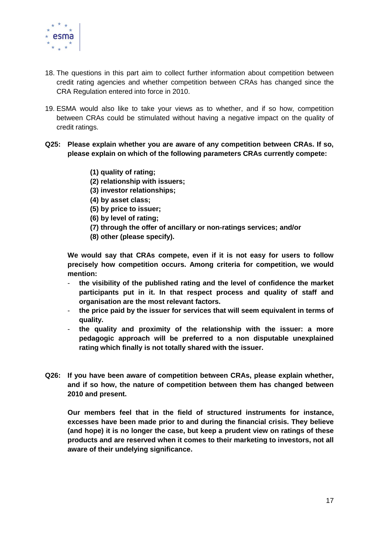

- 18. The questions in this part aim to collect further information about competition between credit rating agencies and whether competition between CRAs has changed since the CRA Regulation entered into force in 2010.
- 19. ESMA would also like to take your views as to whether, and if so how, competition between CRAs could be stimulated without having a negative impact on the quality of credit ratings.

#### **Q25: Please explain whether you are aware of any competition between CRAs. If so, please explain on which of the following parameters CRAs currently compete:**

- **(1) quality of rating;**
- **(2) relationship with issuers;**
- **(3) investor relationships;**
- **(4) by asset class;**
- **(5) by price to issuer;**
- **(6) by level of rating;**
- **(7) through the offer of ancillary or non-ratings services; and/or**
- **(8) other (please specify).**

**We would say that CRAs compete, even if it is not easy for users to follow precisely how competition occurs. Among criteria for competition, we would mention:**

- **the visibility of the published rating and the level of confidence the market participants put in it. In that respect process and quality of staff and organisation are the most relevant factors.**
- **the price paid by the issuer for services that will seem equivalent in terms of quality.**
- **the quality and proximity of the relationship with the issuer: a more pedagogic approach will be preferred to a non disputable unexplained rating which finally is not totally shared with the issuer.**
- **Q26: If you have been aware of competition between CRAs, please explain whether, and if so how, the nature of competition between them has changed between 2010 and present.**

**Our members feel that in the field of structured instruments for instance, excesses have been made prior to and during the financial crisis. They believe (and hope) it is no longer the case, but keep a prudent view on ratings of these products and are reserved when it comes to their marketing to investors, not all aware of their undelying significance.**